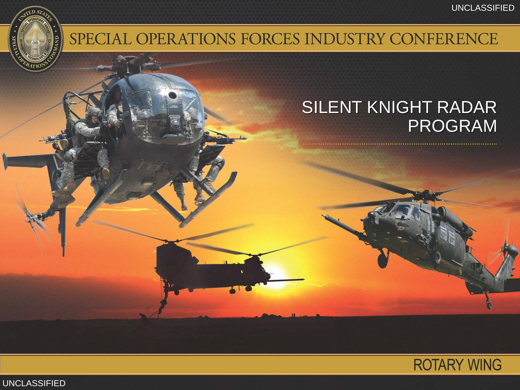

### SPECIAL OPERATIONS FORCES INDUSTRY CONFERENCE

### SILENT KNIGHT RADAR PROGRAM



UNCLASSIFIED UNCLASSIFIED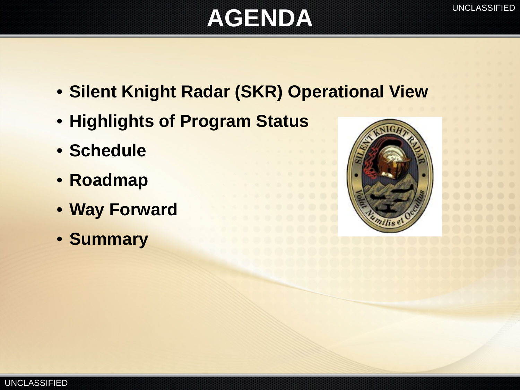# **AGENDA**

- **Silent Knight Radar (SKR) Operational View**
- **Highlights of Program Status**
- **Schedule**
- **Roadmap**
- **Way Forward**
- **Summary**

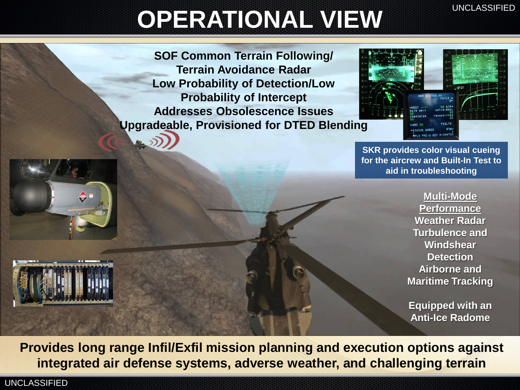## **OPERATIONAL VIEW**

**SOF Common Terrain Following/ Terrain Avoidance Radar Low Probability of Detection/Low Probability of Intercept Addresses Obsolescence Issues Upgradeable, Provisioned for DTED Blending** 



**SKR provides color visual cueing for the aircrew and Built-In Test to aid in troubleshooting**

> **Multi-Mode Performance Weather Radar Turbulence and Windshear Detection Airborne and Maritime Tracking**

**Equipped with an Anti-Ice Radome**

**Provides long range Infil/Exfil mission planning and execution options against integrated air defense systems, adverse weather, and challenging terrain**

UNCLASSIFIED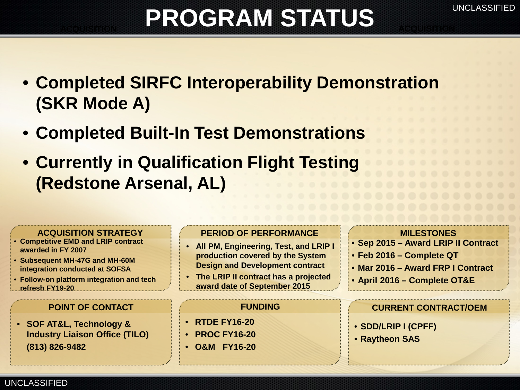## **PROGRAM STATUS**

- **Completed SIRFC Interoperability Demonstration (SKR Mode A)**
- **Completed Built-In Test Demonstrations**
- **Currently in Qualification Flight Testing (Redstone Arsenal, AL)**

- **Competitive EMD and LRIP contract awarded in FY 2007**
- **Subsequent MH-47G and MH-60M integration conducted at SOFSA**
- **Follow-on platform integration and tech refresh FY19-20**

• **SOF AT&L, Technology & Industry Liaison Office (TILO) (813) 826-9482**

UNCLASSIFIED

#### ACQUISITION STRATEGY PERIOD OF PERFORMANCE MILESTONES

- **All PM, Engineering, Test, and LRIP I production covered by the System Design and Development contract**
- **The LRIP II contract has a projected award date of September 2015**

- **RTDE FY16-20**
- **PROC FY16-20**
- **O&M FY16-20**

- **Sep 2015 – Award LRIP II Contract**
- **Feb 2016 – Complete QT**
- **Mar 2016 – Award FRP I Contract**
- **April 2016 – Complete OT&E**

#### **POINT OF CONTACT FUNDING CURRENT CONTRACT/OEM**

- **SDD/LRIP I (CPFF)**
- **Raytheon SAS**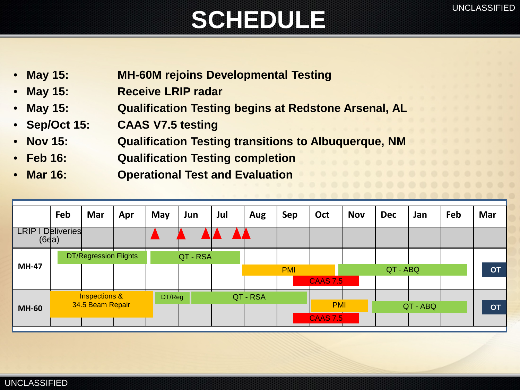# SCHEDULE<sup>UNCLASSIFIED</sup>

- **May 15: MH-60M rejoins Developmental Testing**
- **May 15: Receive LRIP radar**
- **May 15: Qualification Testing begins at Redstone Arsenal, AL**
- **Sep/Oct 15: CAAS V7.5 testing**
- **Nov 15: Qualification Testing transitions to Albuquerque, NM**
- **Feb 16: Qualification Testing completion**
	- **Mar 16: Operational Test and Evaluation**

|                          | Feb                                          | Mar | Apr | May    | Jun      | Jul      | Aug | Sep        | Oct             | <b>Nov</b> | <b>Dec</b> | Jan | Feb | Mar       |
|--------------------------|----------------------------------------------|-----|-----|--------|----------|----------|-----|------------|-----------------|------------|------------|-----|-----|-----------|
| <b>LRIP I Deliveries</b> | (6d)                                         |     |     |        |          |          |     |            |                 |            |            |     |     |           |
| <b>MH-47</b>             | <b>DT/Regression Flights</b>                 |     |     |        | QT - RSA |          |     |            |                 |            |            |     |     |           |
|                          |                                              |     |     |        |          |          |     | <b>PMI</b> |                 |            | QT - ABQ   |     |     | <b>OT</b> |
|                          |                                              |     |     |        |          |          |     |            | <b>CAAS 7.5</b> |            |            |     |     |           |
| <b>MH-60</b>             | <b>Inspections &amp;</b><br>34.5 Beam Repair |     |     | DT/Reg |          | QT - RSA |     |            |                 |            |            |     |     |           |
|                          |                                              |     |     |        |          |          |     |            | <b>PMI</b>      |            | QT - ABQ   |     |     | <b>OT</b> |
|                          |                                              |     |     |        |          |          |     |            | <b>CAAS 7.5</b> |            |            |     |     |           |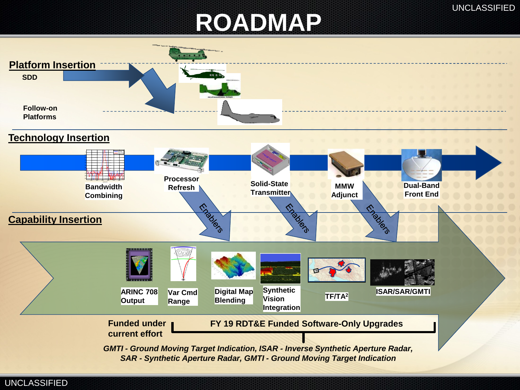### **ROADMAP**

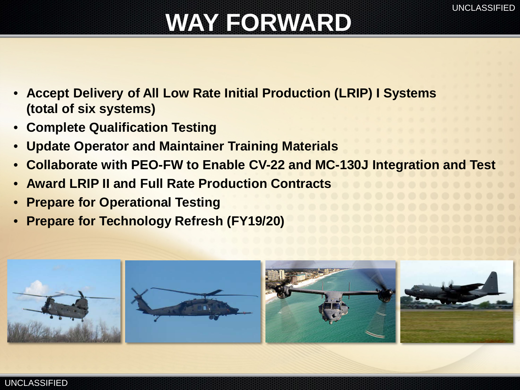## **WAY FORWARD**

- **Accept Delivery of All Low Rate Initial Production (LRIP) I Systems (total of six systems)**
- **Complete Qualification Testing**
- **Update Operator and Maintainer Training Materials**
- **Collaborate with PEO-FW to Enable CV-22 and MC-130J Integration and Test**
- **Award LRIP II and Full Rate Production Contracts**
- **Prepare for Operational Testing**
- **Prepare for Technology Refresh (FY19/20)**